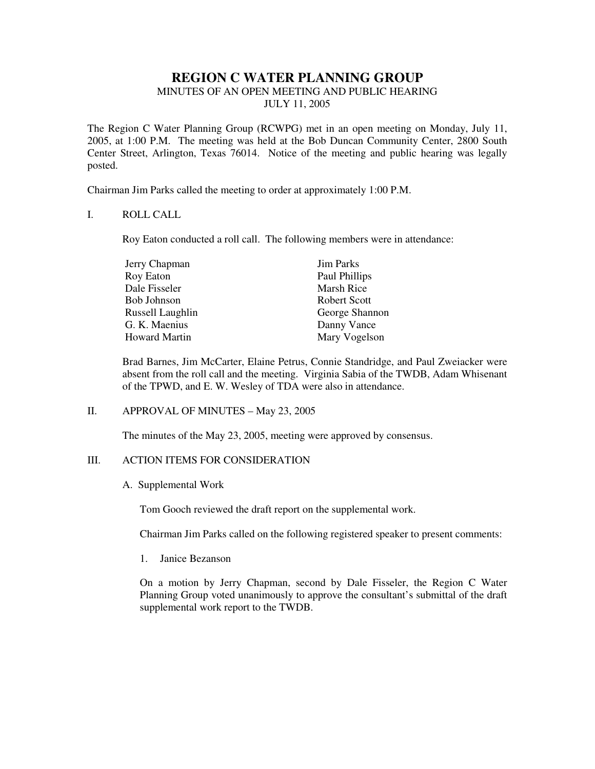# **REGION C WATER PLANNING GROUP**

# MINUTES OF AN OPEN MEETING AND PUBLIC HEARING

JULY 11, 2005

The Region C Water Planning Group (RCWPG) met in an open meeting on Monday, July 11, 2005, at 1:00 P.M. The meeting was held at the Bob Duncan Community Center, 2800 South Center Street, Arlington, Texas 76014. Notice of the meeting and public hearing was legally posted.

Chairman Jim Parks called the meeting to order at approximately 1:00 P.M.

## I. ROLL CALL

Roy Eaton conducted a roll call. The following members were in attendance:

| Jerry Chapman    | <b>Jim Parks</b> |
|------------------|------------------|
| Roy Eaton        | Paul Phillips    |
| Dale Fisseler    | Marsh Rice       |
| Bob Johnson      | Robert Scott     |
| Russell Laughlin | George Shannon   |
| G. K. Maenius    | Danny Vance      |
| Howard Martin    | Mary Vogelson    |

Brad Barnes, Jim McCarter, Elaine Petrus, Connie Standridge, and Paul Zweiacker were absent from the roll call and the meeting. Virginia Sabia of the TWDB, Adam Whisenant of the TPWD, and E. W. Wesley of TDA were also in attendance.

### II. APPROVAL OF MINUTES – May 23, 2005

The minutes of the May 23, 2005, meeting were approved by consensus.

### III. ACTION ITEMS FOR CONSIDERATION

A. Supplemental Work

Tom Gooch reviewed the draft report on the supplemental work.

Chairman Jim Parks called on the following registered speaker to present comments:

1. Janice Bezanson

On a motion by Jerry Chapman, second by Dale Fisseler, the Region C Water Planning Group voted unanimously to approve the consultant's submittal of the draft supplemental work report to the TWDB.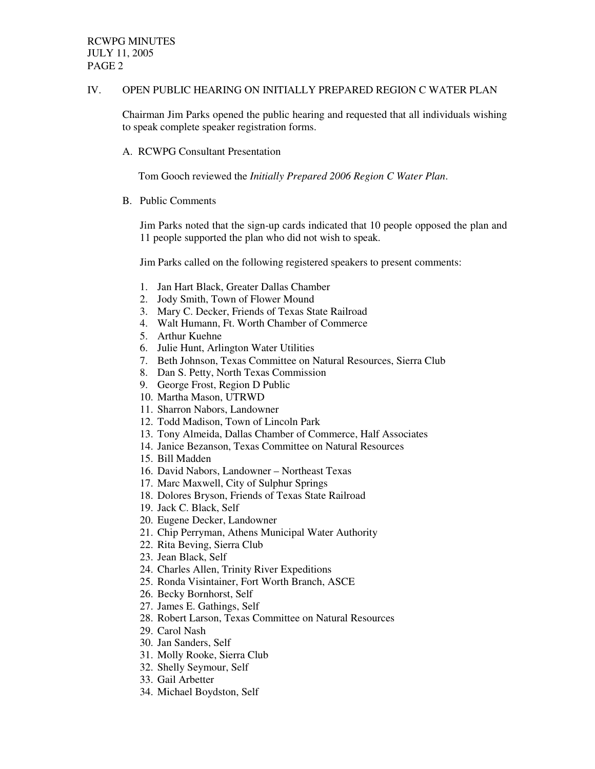#### IV. OPEN PUBLIC HEARING ON INITIALLY PREPARED REGION C WATER PLAN

Chairman Jim Parks opened the public hearing and requested that all individuals wishing to speak complete speaker registration forms.

A. RCWPG Consultant Presentation

Tom Gooch reviewed the *Initially Prepared 2006 Region C Water Plan*.

B. Public Comments

Jim Parks noted that the sign-up cards indicated that 10 people opposed the plan and 11 people supported the plan who did not wish to speak.

Jim Parks called on the following registered speakers to present comments:

- 1. Jan Hart Black, Greater Dallas Chamber
- 2. Jody Smith, Town of Flower Mound
- 3. Mary C. Decker, Friends of Texas State Railroad
- 4. Walt Humann, Ft. Worth Chamber of Commerce
- 5. Arthur Kuehne
- 6. Julie Hunt, Arlington Water Utilities
- 7. Beth Johnson, Texas Committee on Natural Resources, Sierra Club
- 8. Dan S. Petty, North Texas Commission
- 9. George Frost, Region D Public
- 10. Martha Mason, UTRWD
- 11. Sharron Nabors, Landowner
- 12. Todd Madison, Town of Lincoln Park
- 13. Tony Almeida, Dallas Chamber of Commerce, Half Associates
- 14. Janice Bezanson, Texas Committee on Natural Resources
- 15. Bill Madden
- 16. David Nabors, Landowner Northeast Texas
- 17. Marc Maxwell, City of Sulphur Springs
- 18. Dolores Bryson, Friends of Texas State Railroad
- 19. Jack C. Black, Self
- 20. Eugene Decker, Landowner
- 21. Chip Perryman, Athens Municipal Water Authority
- 22. Rita Beving, Sierra Club
- 23. Jean Black, Self
- 24. Charles Allen, Trinity River Expeditions
- 25. Ronda Visintainer, Fort Worth Branch, ASCE
- 26. Becky Bornhorst, Self
- 27. James E. Gathings, Self
- 28. Robert Larson, Texas Committee on Natural Resources
- 29. Carol Nash
- 30. Jan Sanders, Self
- 31. Molly Rooke, Sierra Club
- 32. Shelly Seymour, Self
- 33. Gail Arbetter
- 34. Michael Boydston, Self